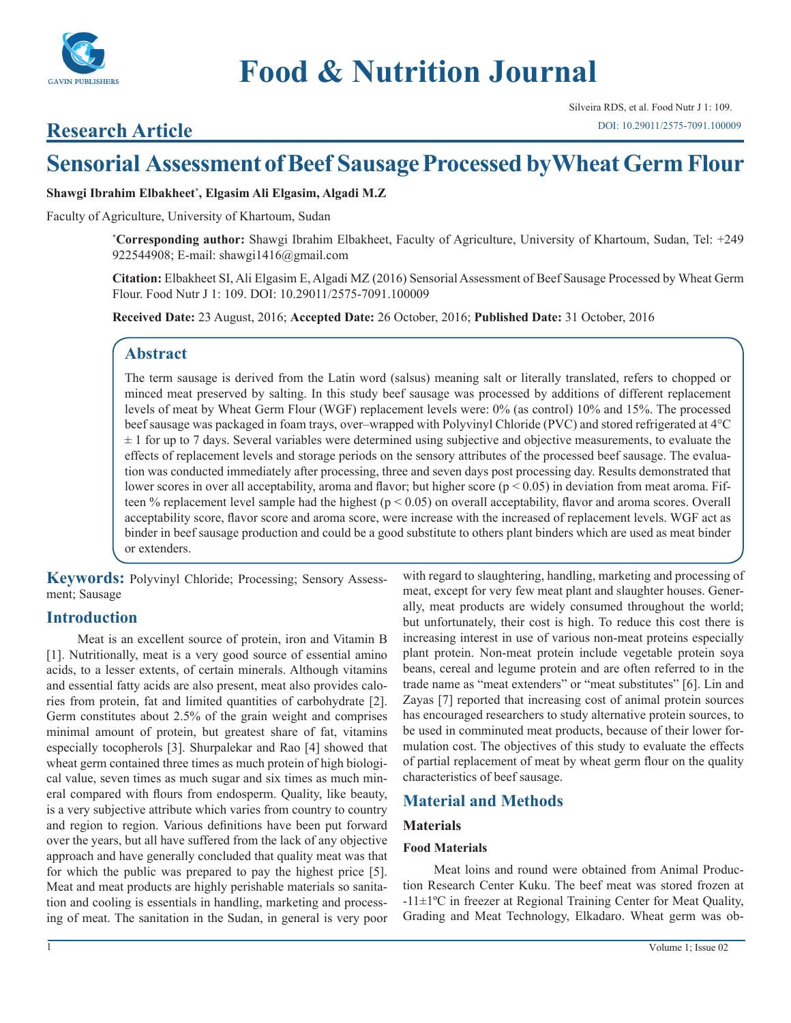

# **Research Article**

# **Sensorial Assessment of Beef Sausage Processed by Wheat Germ Flour**

**Shawgi Ibrahim Elbakheet\* , Elgasim Ali Elgasim, Algadi M.Z**

Faculty of Agriculture, University of Khartoum, Sudan

**\* Corresponding author:** Shawgi Ibrahim Elbakheet, Faculty of Agriculture, University of Khartoum, Sudan, Tel: +249 922544908; E-mail: shawgi1416@gmail.com

**Citation:** Elbakheet SI, Ali Elgasim E, Algadi MZ (2016) Sensorial Assessment of Beef Sausage Processed by Wheat Germ Flour. Food Nutr J 1: 109. DOI: 10.29011/2575-7091.100009

**Received Date:** 23 August, 2016; **Accepted Date:** 26 October, 2016; **Published Date:** 31 October, 2016

# **Abstract**

The term sausage is derived from the Latin word (salsus) meaning salt or literally translated, refers to chopped or minced meat preserved by salting. In this study beef sausage was processed by additions of different replacement levels of meat by Wheat Germ Flour (WGF) replacement levels were: 0% (as control) 10% and 15%. The processed beef sausage was packaged in foam trays, over–wrapped with Polyvinyl Chloride (PVC) and stored refrigerated at 4°C  $\pm$  1 for up to 7 days. Several variables were determined using subjective and objective measurements, to evaluate the effects of replacement levels and storage periods on the sensory attributes of the processed beef sausage. The evaluation was conducted immediately after processing, three and seven days post processing day. Results demonstrated that lower scores in over all acceptability, aroma and flavor; but higher score ( $p < 0.05$ ) in deviation from meat aroma. Fifteen % replacement level sample had the highest ( $p < 0.05$ ) on overall acceptability, flavor and aroma scores. Overall acceptability score, flavor score and aroma score, were increase with the increased of replacement levels. WGF act as binder in beef sausage production and could be a good substitute to others plant binders which are used as meat binder or extenders.

**Keywords:** Polyvinyl Chloride; Processing; Sensory Assessment; Sausage

## **Introduction**

Meat is an excellent source of protein, iron and Vitamin B [1]. Nutritionally, meat is a very good source of essential amino acids, to a lesser extents, of certain minerals. Although vitamins and essential fatty acids are also present, meat also provides calories from protein, fat and limited quantities of carbohydrate [2]. Germ constitutes about 2.5% of the grain weight and comprises minimal amount of protein, but greatest share of fat, vitamins especially tocopherols [3]. Shurpalekar and Rao [4] showed that wheat germ contained three times as much protein of high biological value, seven times as much sugar and six times as much mineral compared with flours from endosperm. Quality, like beauty, is a very subjective attribute which varies from country to country and region to region. Various definitions have been put forward over the years, but all have suffered from the lack of any objective approach and have generally concluded that quality meat was that for which the public was prepared to pay the highest price [5]. Meat and meat products are highly perishable materials so sanitation and cooling is essentials in handling, marketing and processing of meat. The sanitation in the Sudan, in general is very poor

with regard to slaughtering, handling, marketing and processing of meat, except for very few meat plant and slaughter houses. Generally, meat products are widely consumed throughout the world; but unfortunately, their cost is high. To reduce this cost there is increasing interest in use of various non-meat proteins especially plant protein. Non-meat protein include vegetable protein soya beans, cereal and legume protein and are often referred to in the trade name as "meat extenders" or "meat substitutes" [6]. Lin and Zayas [7] reported that increasing cost of animal protein sources has encouraged researchers to study alternative protein sources, to be used in comminuted meat products, because of their lower formulation cost. The objectives of this study to evaluate the effects of partial replacement of meat by wheat germ flour on the quality characteristics of beef sausage.

# **Material and Methods**

## **Materials**

#### **Food Materials**

Meat loins and round were obtained from Animal Production Research Center Kuku. The beef meat was stored frozen at -11±1ºC in freezer at Regional Training Center for Meat Quality, Grading and Meat Technology, Elkadaro. Wheat germ was ob-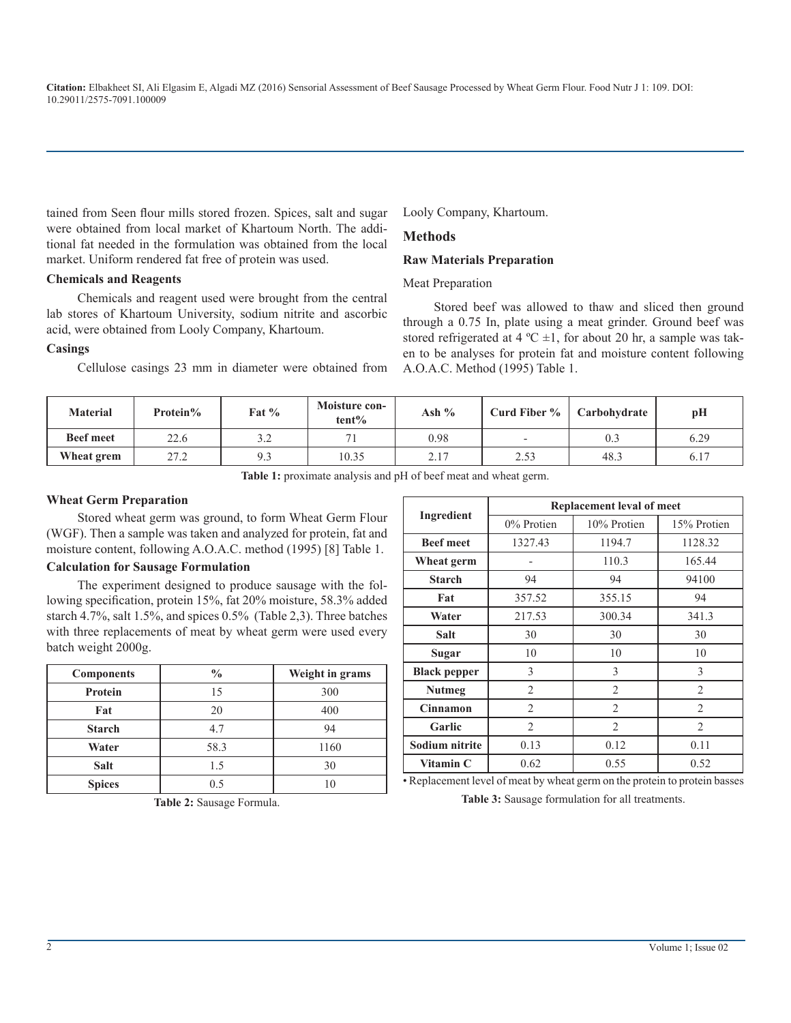tained from Seen flour mills stored frozen. Spices, salt and sugar were obtained from local market of Khartoum North. The additional fat needed in the formulation was obtained from the local market. Uniform rendered fat free of protein was used.

#### **Chemicals and Reagents**

Chemicals and reagent used were brought from the central lab stores of Khartoum University, sodium nitrite and ascorbic acid, were obtained from Looly Company, Khartoum.

#### **Casings**

Cellulose casings 23 mm in diameter were obtained from

Looly Company, Khartoum.

#### **Methods**

#### **Raw Materials Preparation**

#### Meat Preparation

Stored beef was allowed to thaw and sliced then ground through a 0.75 In, plate using a meat grinder. Ground beef was stored refrigerated at 4  $^{\circ}$ C  $\pm$ 1, for about 20 hr, a sample was taken to be analyses for protein fat and moisture content following A.O.A.C. Method (1995) Table 1.

| <b>Material</b>  | Protein% | Fat $%$ | Moisture con-<br>$tent\%$ | Ash % | Curd Fiber $\%$          | Carbohydrate | pH   |
|------------------|----------|---------|---------------------------|-------|--------------------------|--------------|------|
| <b>Beef meet</b> | 22.6     | ے .     | $\mathbf{r}$              | 0.98  | $\overline{\phantom{a}}$ | 0.5          | 6.29 |
| Wheat grem       | 27.2     | 9.3     | 10.35                     | 2.17  | 2.53                     | 48.3         | 6.17 |

**Table 1:** proximate analysis and pH of beef meat and wheat germ.

#### **Wheat Germ Preparation**

Stored wheat germ was ground, to form Wheat Germ Flour (WGF). Then a sample was taken and analyzed for protein, fat and moisture content, following A.O.A.C. method (1995) [8] Table 1.

#### **Calculation for Sausage Formulation**

The experiment designed to produce sausage with the following specification, protein 15%, fat 20% moisture, 58.3% added starch 4.7%, salt 1.5%, and spices 0.5% (Table 2,3). Three batches with three replacements of meat by wheat germ were used every batch weight 2000g.

| <b>Components</b> | $\frac{0}{0}$ | Weight in grams |
|-------------------|---------------|-----------------|
| Protein           | 15            | 300             |
| Fat               | 20            | 400             |
| <b>Starch</b>     | 4.7           | 94              |
| Water             | 58.3          | 1160            |
| Salt              | 1.5           | 30              |
| <b>Spices</b>     | 05            |                 |

**Table 2:** Sausage Formula.

|                     | <b>Replacement leval of meet</b> |                |                |  |  |
|---------------------|----------------------------------|----------------|----------------|--|--|
| Ingredient          | 0% Protien                       | 10% Protien    | 15% Protien    |  |  |
| <b>Beef meet</b>    | 1327.43                          | 1194.7         | 1128.32        |  |  |
| Wheat germ          |                                  | 110.3          | 165.44         |  |  |
| <b>Starch</b>       | 94                               | 94             | 94100          |  |  |
| Fat                 | 357.52                           | 355.15         | 94             |  |  |
| Water               | 217.53                           | 300.34         | 341.3          |  |  |
| Salt                | 30                               | 30             | 30             |  |  |
| Sugar               | 10                               | 10             | 10             |  |  |
| <b>Black pepper</b> | 3                                | 3              | $\mathcal{E}$  |  |  |
| <b>Nutmeg</b>       | 2                                | $\overline{2}$ | 2              |  |  |
| <b>Cinnamon</b>     | $\overline{2}$                   | $\overline{2}$ | $\overline{2}$ |  |  |
| Garlic              | $\overline{2}$                   | $\overline{2}$ | $\overline{c}$ |  |  |
| Sodium nitrite      | 0.13                             | 0.12           | 0.11           |  |  |
| Vitamin C           | 0.62                             | 0.55           | 0.52           |  |  |

• Replacement level of meat by wheat germ on the protein to protein basses

**Table 3:** Sausage formulation for all treatments.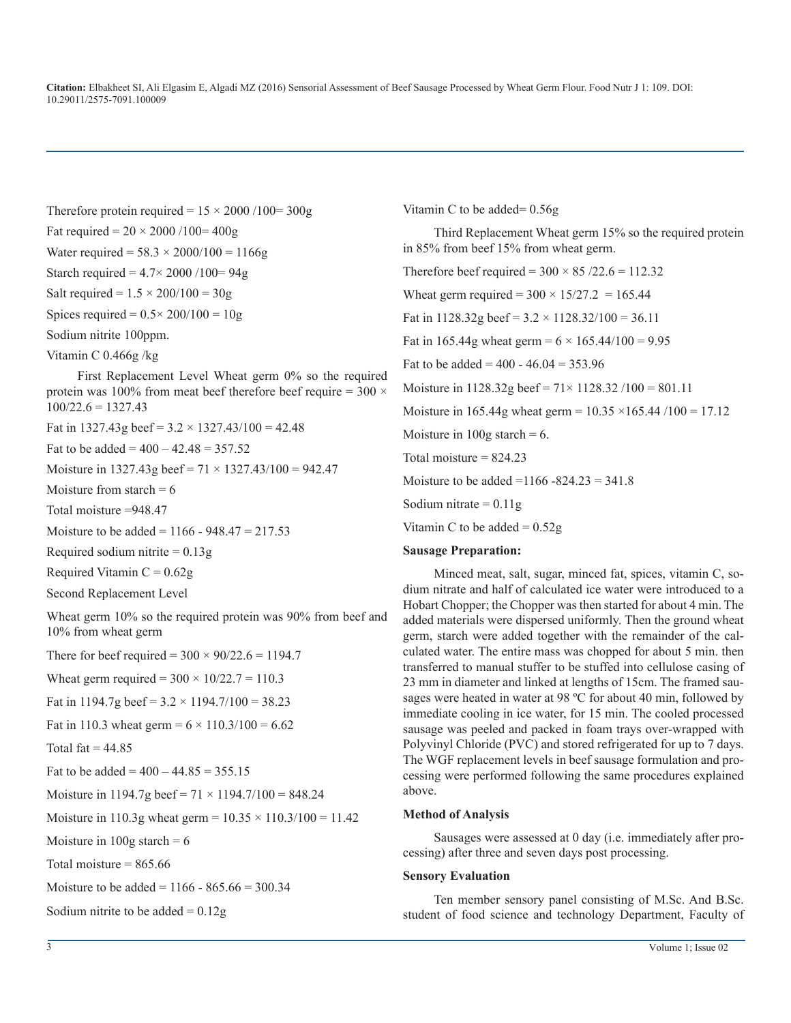Therefore protein required =  $15 \times 2000 / 100 = 300g$ Fat required =  $20 \times 2000 / 100 = 400g$ Water required =  $58.3 \times 2000/100 = 1166g$ Starch required =  $4.7 \times 2000 / 100 = 94g$ Salt required =  $1.5 \times 200/100 = 30g$ Spices required =  $0.5 \times 200/100 = 10g$ Sodium nitrite 100ppm. Vitamin C 0.466g /kg First Replacement Level Wheat germ 0% so the required

protein was 100% from meat beef therefore beef require =  $300 \times$  $100/22.6 = 1327.43$ 

Fat in 1327.43g beef =  $3.2 \times 1327.43/100 = 42.48$ 

Fat to be added =  $400 - 42.48 = 357.52$ 

Moisture in 1327.43g beef =  $71 \times 1327.43/100 = 942.47$ 

Moisture from starch  $= 6$ 

Total moisture =948.47

Moisture to be added =  $1166 - 948.47 = 217.53$ 

Required sodium nitrite  $= 0.13$ g

Required Vitamin  $C = 0.62g$ 

Second Replacement Level

Wheat germ 10% so the required protein was 90% from beef and 10% from wheat germ

There for beef required =  $300 \times 90/22.6 = 1194.7$ Wheat germ required =  $300 \times 10/22.7 = 110.3$ Fat in 1194.7g beef =  $3.2 \times 1194.7/100 = 38.23$ Fat in 110.3 wheat germ =  $6 \times 110.3/100 = 6.62$ Total fat  $= 44.85$ Fat to be added =  $400 - 44.85 = 355.15$ Moisture in 1194.7g beef =  $71 \times 1194.7/100 = 848.24$ Moisture in 110.3g wheat germ =  $10.35 \times 110.3/100 = 11.42$ Moisture in  $100g$  starch = 6 Total moisture  $= 865.66$ Moisture to be added =  $1166 - 865.66 = 300.34$ Sodium nitrite to be added  $= 0.12$ g

Vitamin C to be added= 0.56g

Third Replacement Wheat germ 15% so the required protein in 85% from beef 15% from wheat germ.

Therefore beef required =  $300 \times 85 / 22.6 = 112.32$ Wheat germ required =  $300 \times 15/27.2 = 165.44$ Fat in 1128.32g beef =  $3.2 \times 1128.32/100 = 36.11$ Fat in 165.44g wheat germ =  $6 \times 165.44/100 = 9.95$ Fat to be added =  $400 - 46.04 = 353.96$ Moisture in  $1128.32g$  beef =  $71 \times 1128.32 / 100 = 801.11$ Moisture in 165.44g wheat germ =  $10.35 \times 165.44 / 100 = 17.12$ Moisture in 100g starch  $= 6$ . Total moisture  $= 824.23$ Moisture to be added =  $1166 - 824.23 = 341.8$ Sodium nitrate  $= 0.11$ g Vitamin C to be added  $= 0.52g$ 

#### **Sausage Preparation:**

Minced meat, salt, sugar, minced fat, spices, vitamin C, sodium nitrate and half of calculated ice water were introduced to a Hobart Chopper; the Chopper was then started for about 4 min. The added materials were dispersed uniformly. Then the ground wheat germ, starch were added together with the remainder of the calculated water. The entire mass was chopped for about 5 min. then transferred to manual stuffer to be stuffed into cellulose casing of 23 mm in diameter and linked at lengths of 15cm. The framed sausages were heated in water at 98 ºC for about 40 min, followed by immediate cooling in ice water, for 15 min. The cooled processed sausage was peeled and packed in foam trays over-wrapped with Polyvinyl Chloride (PVC) and stored refrigerated for up to 7 days. The WGF replacement levels in beef sausage formulation and processing were performed following the same procedures explained above.

#### **Method of Analysis**

Sausages were assessed at 0 day (i.e. immediately after processing) after three and seven days post processing.

#### **Sensory Evaluation**

Ten member sensory panel consisting of M.Sc. And B.Sc. student of food science and technology Department, Faculty of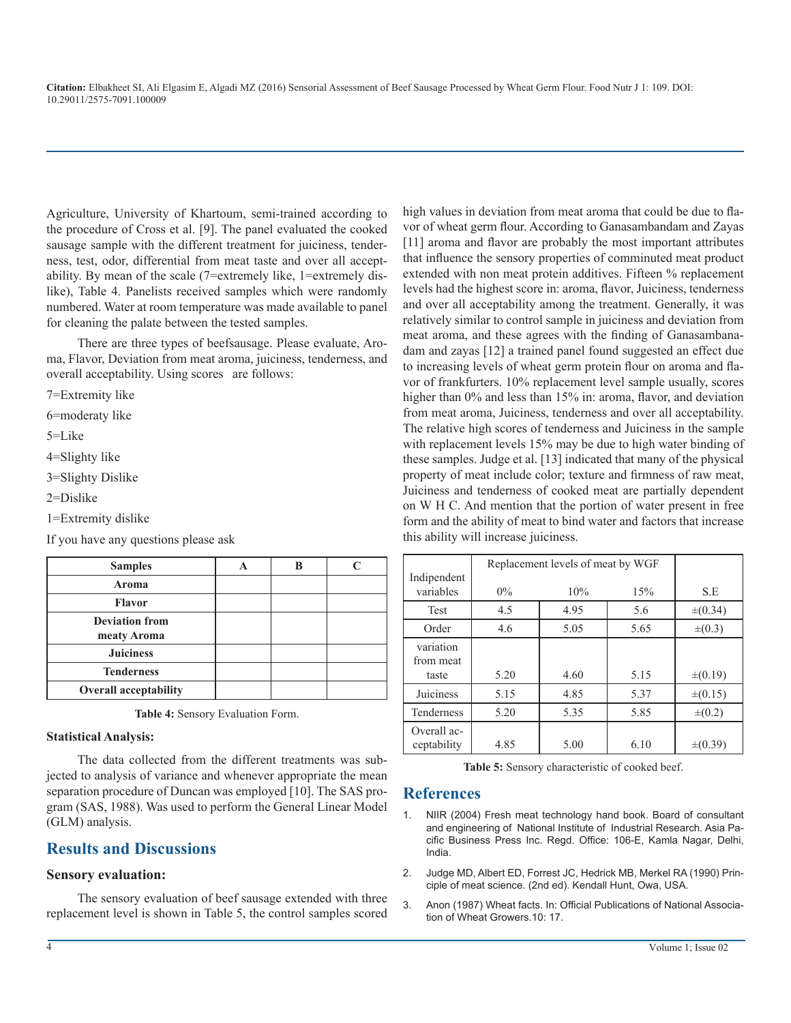Agriculture, University of Khartoum, semi-trained according to the procedure of Cross et al. [9]. The panel evaluated the cooked sausage sample with the different treatment for juiciness, tenderness, test, odor, differential from meat taste and over all acceptability. By mean of the scale (7=extremely like, 1=extremely dislike), Table 4. Panelists received samples which were randomly numbered. Water at room temperature was made available to panel for cleaning the palate between the tested samples.

There are three types of beefsausage. Please evaluate, Aroma, Flavor, Deviation from meat aroma, juiciness, tenderness, and overall acceptability. Using scores are follows:

7=Extremity like

6=moderaty like

5=Like

4=Slighty like

3=Slighty Dislike

2=Dislike

1=Extremity dislike

If you have any questions please ask

| <b>Samples</b>                       |  |  |
|--------------------------------------|--|--|
| Aroma                                |  |  |
| <b>Flavor</b>                        |  |  |
| <b>Deviation from</b><br>meaty Aroma |  |  |
| <b>Juiciness</b>                     |  |  |
| <b>Tenderness</b>                    |  |  |
| <b>Overall acceptability</b>         |  |  |

**Table 4:** Sensory Evaluation Form.

#### **Statistical Analysis:**

The data collected from the different treatments was subjected to analysis of variance and whenever appropriate the mean separation procedure of Duncan was employed [10]. The SAS program (SAS, 1988). Was used to perform the General Linear Model (GLM) analysis.

## **Results and Discussions**

#### **Sensory evaluation:**

The sensory evaluation of beef sausage extended with three replacement level is shown in Table 5, the control samples scored high values in deviation from meat aroma that could be due to flavor of wheat germ flour. According to Ganasambandam and Zayas [11] aroma and flavor are probably the most important attributes that influence the sensory properties of comminuted meat product extended with non meat protein additives. Fifteen % replacement levels had the highest score in: aroma, flavor, Juiciness, tenderness and over all acceptability among the treatment. Generally, it was relatively similar to control sample in juiciness and deviation from meat aroma, and these agrees with the finding of Ganasambanadam and zayas [12] a trained panel found suggested an effect due to increasing levels of wheat germ protein flour on aroma and flavor of frankfurters. 10% replacement level sample usually, scores higher than 0% and less than 15% in: aroma, flavor, and deviation from meat aroma, Juiciness, tenderness and over all acceptability. The relative high scores of tenderness and Juiciness in the sample with replacement levels 15% may be due to high water binding of these samples. Judge et al. [13] indicated that many of the physical property of meat include color; texture and firmness of raw meat, Juiciness and tenderness of cooked meat are partially dependent on W H C. And mention that the portion of water present in free form and the ability of meat to bind water and factors that increase this ability will increase juiciness.

|                                 | Replacement levels of meat by WGF |      |      |              |
|---------------------------------|-----------------------------------|------|------|--------------|
| Indipendent<br>variables        | $0\%$                             | 10%  | 15%  | S.E          |
| Test                            | 4.5                               | 4.95 | 5.6  | $\pm (0.34)$ |
| Order                           | 4.6                               | 5.05 | 5.65 | $\pm (0.3)$  |
| variation<br>from meat<br>taste | 5.20                              | 4.60 | 5.15 | $\pm (0.19)$ |
| Juiciness                       | 5.15                              | 4.85 | 5.37 | $\pm (0.15)$ |
| Tenderness                      | 5.20                              | 5.35 | 5.85 | $\pm (0.2)$  |
| Overall ac-<br>ceptability      | 4.85                              | 5.00 | 6.10 | $\pm (0.39)$ |

**Table 5:** Sensory characteristic of cooked beef.

#### **References**

- 1. NIIR (2004) Fresh meat technology hand book. Board of consultant and engineering of National Institute of Industrial Research. Asia Pacific Business Press Inc. Regd. Office: 106-E, Kamla Nagar, Delhi, India.
- 2. Judge MD, Albert ED, Forrest JC, Hedrick MB, Merkel RA (1990) Principle of meat science. (2nd ed). Kendall Hunt, Owa, USA.
- 3. Anon (1987) Wheat facts. In: Official Publications of National Association of Wheat Growers.10: 17.